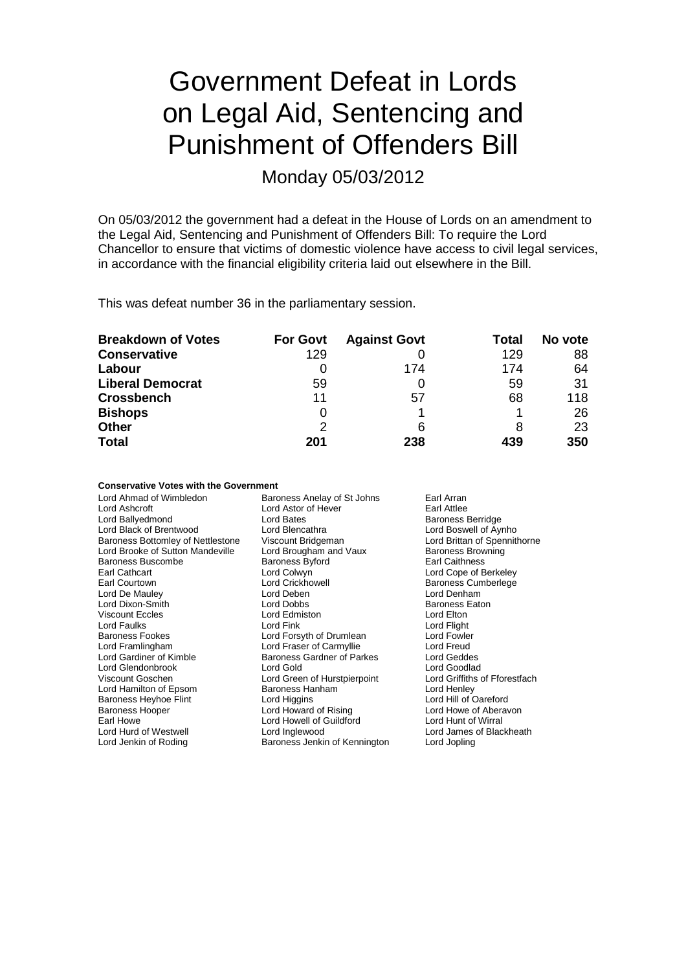# Government Defeat in Lords on Legal Aid, Sentencing and Punishment of Offenders Bill

Monday 05/03/2012

On 05/03/2012 the government had a defeat in the House of Lords on an amendment to the Legal Aid, Sentencing and Punishment of Offenders Bill: To require the Lord Chancellor to ensure that victims of domestic violence have access to civil legal services, in accordance with the financial eligibility criteria laid out elsewhere in the Bill.

This was defeat number 36 in the parliamentary session.

| <b>Breakdown of Votes</b> | <b>For Govt</b> | <b>Against Govt</b> | Total | No vote |
|---------------------------|-----------------|---------------------|-------|---------|
| <b>Conservative</b>       | 129             |                     | 129   | 88      |
| Labour                    |                 | 174                 | 174   | 64      |
| <b>Liberal Democrat</b>   | 59              |                     | 59    | 31      |
| <b>Crossbench</b>         | 11              | 57                  | 68    | 118     |
| <b>Bishops</b>            | 0               |                     |       | 26      |
| <b>Other</b>              | 2               | 6                   | 8     | 23      |
| <b>Total</b>              | 201             | 238                 | 439   | 350     |

#### **Conservative Votes with the Government**

| Lord Ahmad of Wimbledon           | Baroness Anelay of St Johns        | Earl Arran                    |  |
|-----------------------------------|------------------------------------|-------------------------------|--|
| Lord Ashcroft                     | Lord Astor of Hever<br>Earl Attlee |                               |  |
| Lord Ballyedmond                  | Lord Bates                         | <b>Baroness Berridge</b>      |  |
| Lord Black of Brentwood           | Lord Blencathra                    | Lord Boswell of Aynho         |  |
| Baroness Bottomley of Nettlestone | Viscount Bridgeman                 | Lord Brittan of Spennithorne  |  |
| Lord Brooke of Sutton Mandeville  | Lord Brougham and Vaux             | <b>Baroness Browning</b>      |  |
| <b>Baroness Buscombe</b>          | <b>Baroness Byford</b>             | <b>Earl Caithness</b>         |  |
| Earl Cathcart                     | Lord Colwyn                        | Lord Cope of Berkeley         |  |
| Earl Courtown                     | <b>Lord Crickhowell</b>            | Baroness Cumberlege           |  |
| Lord De Mauley                    | Lord Deben                         | Lord Denham                   |  |
| Lord Dixon-Smith                  | Lord Dobbs                         | <b>Baroness Eaton</b>         |  |
| <b>Viscount Eccles</b>            | Lord Edmiston                      | Lord Elton                    |  |
| Lord Faulks                       | Lord Fink                          | Lord Flight                   |  |
| <b>Baroness Fookes</b>            | Lord Forsyth of Drumlean           | Lord Fowler                   |  |
| Lord Framlingham                  | Lord Fraser of Carmyllie           | Lord Freud                    |  |
| Lord Gardiner of Kimble           | <b>Baroness Gardner of Parkes</b>  | Lord Geddes                   |  |
| Lord Glendonbrook                 | Lord Gold                          | Lord Goodlad                  |  |
| Viscount Goschen                  | Lord Green of Hurstpierpoint       | Lord Griffiths of Fforestfach |  |
| Lord Hamilton of Epsom            | Baroness Hanham                    | Lord Henley                   |  |
| Baroness Heyhoe Flint             | Lord Higgins                       | Lord Hill of Oareford         |  |
| <b>Baroness Hooper</b>            | Lord Howard of Rising              | Lord Howe of Aberavon         |  |
| Earl Howe                         | Lord Howell of Guildford           | Lord Hunt of Wirral           |  |
| Lord Hurd of Westwell             | Lord Inglewood                     | Lord James of Blackheath      |  |
| Lord Jenkin of Roding             | Baroness Jenkin of Kennington      | Lord Jopling                  |  |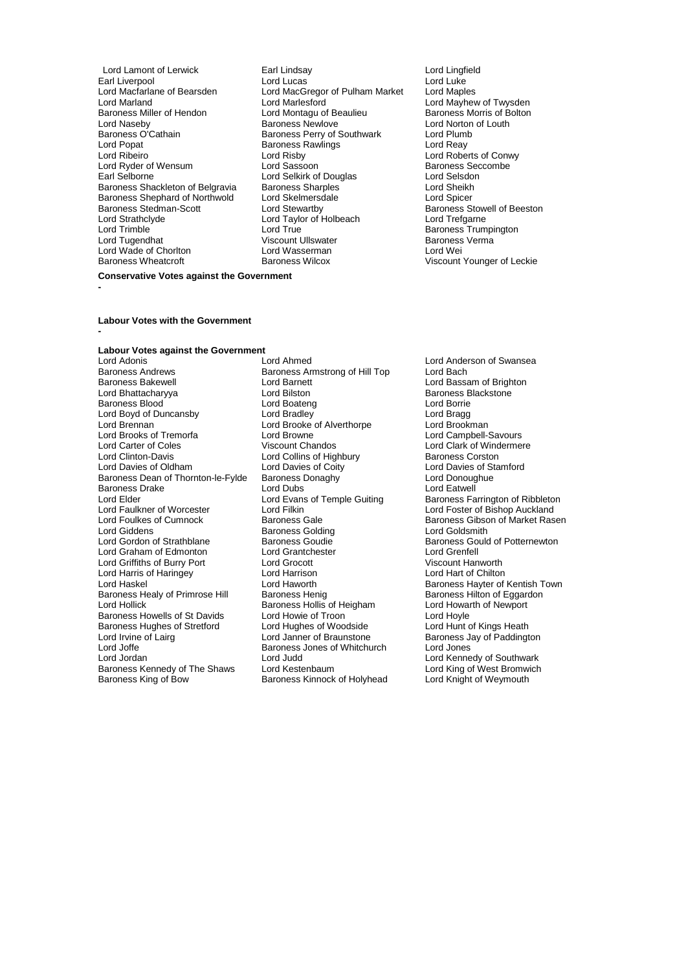- Earl Liverpool **Lord Lord Lucas** Lord Lucas Lord Luke<br>
Lord Macfarlane of Bearsden Lord MacGregor of Pulham Market Lord Maples Lord Macfarlane of Bearsden Lord MacGregor of Pulham Market<br>Lord Marland Lord Marlesford Lord Marland Lord Marlesford Lord Marlesford Lord Mayhew of Twysden<br>Baroness Miller of Hendon Lord Montagu of Beaulieu Baroness Morris of Bolton Baroness Miller of Hendon Lord Montagu of Beaulieu<br>
Lord Naseby<br>
Baroness Newlove Lord Naseby **Baroness Newlove** Lord Norton of Louth Baroness Newlove Lord Norton of Louth<br>Baroness O'Cathain **Baroness Perry of Southwark** Lord Plumb Baroness O'Cathain Baroness Perry of Southwark Lord Plumb<br>Lord Popat Baroness Rawlings Lord Popat Baroness Rawlings Lord Reay Lord Popat **Baroness Rawlings**<br>
Lord Ribeiro **Baroness Rawlings** Lord Ryder of Wensum Lord Sassoon Cord Sassoon<br>
Lord Selverness Security Cord Selvich Cord Selvich Cord Selverness Sec Baroness Shackleton of Belgravia Baroness Sharples<br>
Baroness Shephard of Northwold Lord Skelmersdale Lord Cord Spicer Baroness Shephard of Northwold Lord Skelmersdale Lord Spicer<br>
Baroness Stedman-Scott Lord Stewartby Corporation Baroness Stowell of Beeston Lord Trimble Lord True Baroness Trumpington Lord Wade of Chorlton Lord Wasserman<br>
Baroness Wheatcroft 
Baroness Wilcox
- Lord Lamont of Lerwick Earl Lindsay Lord Lingfield Lord Risby **Lord Roberts of Conwy**<br>
Lord Sassoon **Baroness** Seccombe **Lord Selkirk of Douglas Lord Selsdon<br>
Baroness Sharples Lord Sheikh** Baroness Stedman-Scott **Lord Stewartby Baroness Stowell of Beeston** Lord Strathclyde Lord Taylor of Holbeach Lord Trefgarne Viscount Ullswater **Baroness Vermanness Vermanness Vermanness** Vermanness Vermanness Vermanness Vermanness Verman<br>Baroness Lord Wei
	- Viscount Younger of Leckie

#### **Conservative Votes against the Government**

**-**

**-**

#### **Labour Votes with the Government**

### **Labour Votes against the Government**

Baroness Andrews **Baroness Armstrong of Hill Top**<br>Baroness Bakewell **Baroness** Lord Barnett Lord Bhattacharyya **Lord Bilston** Baroness B<br>
Baroness Blood **Baroness Blood** Lord Boateng **Baroness Blood** Borrie Baroness Blood Lord Boateng Lord Borrie Lord Boyd of Duncansby Lord Bradley Lord Bragg Lord Brennan Lord Brooke of Alverthorpe<br>
Lord Brooks of Tremorfa Lord Browne Lord Brooks of Tremorfa Lord Browne Lord Campbell-Savours<br>
Lord Carter of Coles 
Viscount Chandos

Lord Clark of Winderme Lord Carter of Coles<br>
Lord Clinton-Davis<br>
Lord Collins of Highbury **Lord Colling Colling** Baroness Corston Lord Clinton-Davis<br>
Lord Davies of Oldham<br>
Lord Davies of Coity Baroness Dean of Thornton-le-Fylde Baroness Donaghy Lord Donoughuess Drake Lord Donoughuess Drake Lord Eatwell Baroness Drake Lord Dubs<br>
Lord Elder Lord Evans of Temple Guiting Lord Elder Lord Evans of Temple Guiting Baroness Farrington of Ribbleton<br>
Lord Eaulkner of Worcester Lord Filkin Lord Foster of Bishop Auckland Lord Foulkes of Cumnock Baroness Gale Baroness Gale Baroness Gibson of Market Rasen<br>
Baroness Golding Baroness Colding Lord Goldsmith Lord Giddens **Baroness Golding**<br>
Lord Gordon of Strathblane **Baroness Goudie** Lord Graham of Edmonton Lord Grantchester Lord Grenfell Lord Griffiths of Burry Port Lord Grocott Corporation Corporation Viscount Hanworth<br>Cord Harris of Haringey Lord Harrison Corporation Corporation Lord Harrison Lord Harris of Haringey Lord Harrison<br>
Lord Haskel Chilton Cord Haworth Baroness Healy of Primrose Hill Baroness Henig Baroness Healy of Eggardoness Hilton of Eggardoness Hollis of Heigham Baroness Hollis of Heigham Lord Howarth of Newport Lord Hollick **Construents Baroness Hollis of Heigham** Lord Howarth Baroness Hollis of St Davids Cord Howie of Troon Baroness Howells of St Davids Lord Howie of Troon<br>
Baroness Hughes of Stretford Lord Hughes of Woodside Lord Hunt of Kings Heath Baroness Hughes of Stretford Lord Hughes of Woodside<br>
Lord Irvine of Lairg Lord Janner of Braunstone Lord Irvine of Lairg **Lord Lord Janner of Braunstone** Baroness Jay of Paddington<br>
Lord Joffe **Baroness Jones of Whitchurch** Lord Jones Lord Joffe **Baroness Jones of Whitchurch**<br>
Lord Jordan **Lord Judd** Baroness Kennedy of The Shaws Lord Kestenbaum Lord Holyhead Lord King of West Bromwich<br>Baroness King of Bow Baroness Kinnock of Holyhead Lord Knight of Weymouth

Lord Adonis The Lord Ahmed Lord Anderson of Swansea<br>
Baroness Andrews The Baroness Armstrong of Hill Top Lord Bach **Lord Barnett** Lord Bassam of Brighton<br>
Lord Bilston<br>
Baroness Blackstone Lord Davies of Coity<br>
Baroness Donaghy<br>
Lord Donoughue<br>
Lord Donoughue Lord Judd<br>
Lord Kestenbaum<br>
Lord King of West Bromwich Baroness Kinnock of Holyhead

Lord Foster of Bishop Auckland Baroness Goudie Baroness Gould of Potternewton<br>
Lord Grantchester Lord Grenfell Lord Haworth **Baroness Hayter of Kentish Town**<br>
Baroness Henig<br>
Baroness Hilton of Eggardon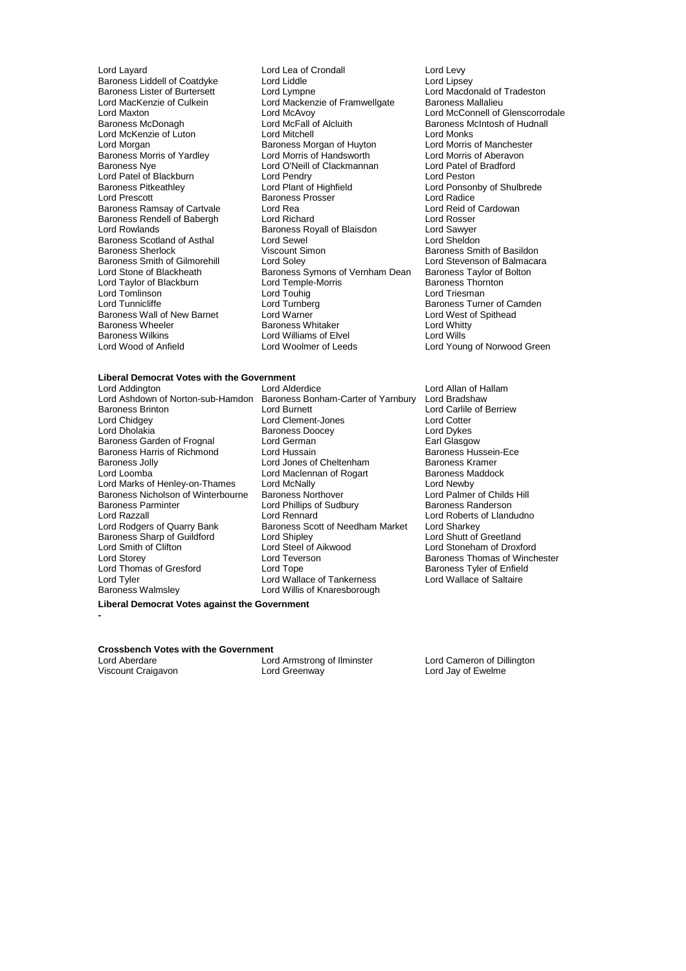Baroness Liddell of Coatdyke Lord Liddle<br>
Baroness Lister of Burtersett Lord Lympne Lord Patel of Blackburn Lord Pendry<br>Baroness Pitkeathley Lord Plant of Highfield Baroness Scotland of Asthal Lord Sewel<br>Baroness Sherlock Corporation Corporation Simon Lord Tomlinson<br>
Lord Tunnicliffe 
Lord Tunnicliffe 
Lord Tunnberg Baroness Wilkins **Lack Communist Control Control** Lord Williams of Elvel Lord Woolmer of Leeds

Lord Layard Layard Lord Lea of Crondall Lord Levy<br>
Baroness Liddell of Coatdyke Lord Liddle Liddle Lord Lipsey Baroness Lister of Burtersett Lord Lympne Lord Lord Macdonald of Tradeston<br>
Lord MacKenzie of Culkein Lord Mackenzie of Framwelloate Baroness Mallalieu Lord MacKenzie of Culkein<br>
Lord MacKenzie of Culkein<br>
Lord MacAvoy Lord Maxton **Lord McAvoy** Lord McAvoy **Lord McConnell of Glenscorrodale**<br>
Baroness McDonagh **Lord McFall of Alcluith** Baroness McIntosh of Hudnall Lord McFall of Alcluith Baroness McIntosh of Hudnall<br>Lord Mitchell Baroness McIntosh of Hudnall Lord McKenzie of Luton Lord Mitchell Lord Must be died Monks<br>
Lord Morgan Cord Morgan Lord Morris of Manchester Lord Morgan **Baroness Morgan of Huyton** Lord Morris of Manchest<br>
Baroness Morris of Yardley **Lord Morris of Handsworth** Lord Morris of Aberavon Baroness Morris of Yardley **Lord Morris of Handsworth Cord Morris of Aberavon**<br>Baroness Nve **Lord Aberation** Lord O'Neill of Clackmannan Lord Patel of Bradford Lord O'Neill of Clackmannan Lord Patel of Lord Pendry<br>
Lord Pendry Cord Peston Baroness Pitkeathley **Lord Plant of Highfield** Hight Lord Ponsonby of Shulbrede<br>
Lord Prescott **Lord Ponsonby Consomer Console Baroness Prosser** Lord Radice Baroness Prosser **Baroness Prosser Execute Baroness Prosser**<br>
Lord Rea Lord Reid of Cardowan Baroness Ramsay of Cartvale Lord Rea Lord Rea Lord Reid of Cartvale Lord Rea Lord Reid of Cartvale Lord Richard Baroness Rendell of Babergh Lord Richard Lord Rishard Lord Rosser<br>
Lord Rowlands Corp Baroness Royall of Blaisdon Lord Sawyer Baroness Royall of Blaisdon **Lord Sawyer**<br>
Lord Sewel **Lord Sheldon** Viscount Simon<br>
Lord Soley<br>
Lord Stevenson of Balmacara Baroness Smith of Gilmorehill Lord Soley Lord Soley Lord Stevenson of Balmac<br>Lord Stone of Blackheath Baroness Symons of Vernham Dean Baroness Taylor of Bolton Baroness Symons of Vernham Dean Baroness Taylor of Lord Temple-Morris Lord Taylor of Blackburn Lord Temple-Morris Baroness Thornton Baroness Thornton Lord Toubia<br>Lord Tomlinson Lord Toubia Lord Turnberg **Baroness Turner of Camden**<br>
Lord Warner **Cammer Container Container Container Container Container Container Container Container Container** Baroness Wall of New Barnet Lord Warner Christian Music Cord West controller and Music Christian Cord Whitty<br>Baroness Wheeler Christian Baroness Whitaker Christian Christian Music Baroness Wheeler **Baroness Whitaker** Lord White<br>Baroness Wilkins **Baroness Lord Williams of Elvel** Baroness Wilkins

### **Liberal Democrat Votes with the Government**

Lord Ashdown of Norton-sub-Hamdon Baroness Bonding Baroness Brinton<br>- Carter Brady Baroness Parminter **Lord Phillips of Sudbury**<br>
Lord Razzall<br>
Lord Rennard Baroness Sharp of Guildford Lord Shipley<br>
Lord Smith of Clifton Lord Steel of Aikwood Lord Tyler Lord Wallace of Tankerness<br>
Baroness Walmsley Lord Willis of Knaresborough

Lord Alderdice Lord Allan of Hallam<br>Baroness Bonham-Carter of Yarnbury Lord Bradshaw Baroness Brinton Lord Burnett Lord Burnett Lord Carlile of Berriew<br>Lord Chidgey Lord Carlile of Berriew<br>Lord Chidgey Lord Cotter Lord Chidgey Lord Clement-Jones Lord Cotter Exames Doocey and Lord Dykes<br>
Lord German Control Barol Barole Barole Barole Barole Barole Barole Barole Barole Barole Barole Barole Barole Baroness Garden of Frognal Lord German Communication and Gasgow Earl Glasgow<br>
Baroness Harris of Richmond Lord Hussain Communication Baroness Hussein-Ece Baroness Harris of Richmond Lord Hussain Lord Hussain Baroness Hussein<br>- Lord Jones of Cheltenham Baroness Kramer Baroness Jolly **Communist Constructed Lord Jones of Cheltenham Communist Constructed Baroness Kramer**<br>
Lord Maclennan of Rogart **Baroness Maddock** Lord Maclennan of Rogart Baroness Mac<br>Lord McNally Baroness Manufold Baroness Mac Lord Marks of Henley-on-Thames Lord McNally Cord Cord Mexic Lord Newby<br>
Baroness Nicholson of Winterbourne Baroness Northover Lord Palmer of Childs Hill Baroness Nicholson of Winterbourne Baroness Northover **Lord Palmer of Childs** Baroness Parminter Lord Phillips of Sudbury **Hills Hills Hills Hills Hills Hills Hills** Hills Aroness Randerson Lord Razzall Lord Rennard Lord Roberts of Llandudno Baroness Scott of Needham Market Lord Sharkey<br>Lord Shutt of Greetland Lord Smith of Clifton Lord Steel of Aikwood Lord Stoneham of Droxford Lord Thomas of Gresford Lord Tope Cord Tankerness<br>
Lord Tyler Cord Wallace of Tankerness<br>
Lord Tyler Cord Wallace of Tankerness<br>
Lord Wallace of Tankerness Lord Willis of Knaresborough

Lord Young of Norwood Green

Baroness Thomas of Winchester

**Liberal Democrat Votes against the Government -**

### **Crossbench Votes with the Government**<br>Lord Aberdare<br>Lor

Lord Aberdare **Lord Armstrong of Ilminster** Lord Cameron of Dillington<br>
Viscount Craigavon **Lord Creenway** Lord Creenway Lord Jay of Ewelme

Lord Jay of Ewelme